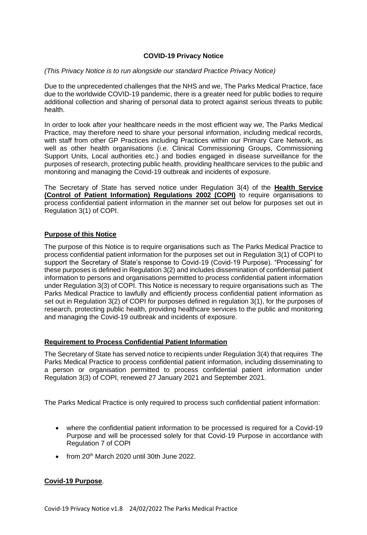## **COVID-19 Privacy Notice**

#### *(This Privacy Notice is to run alongside our standard Practice Privacy Notice)*

Due to the unprecedented challenges that the NHS and we, The Parks Medical Practice, face due to the worldwide COVID-19 pandemic, there is a greater need for public bodies to require additional collection and sharing of personal data to protect against serious threats to public health.

In order to look after your healthcare needs in the most efficient way we, The Parks Medical Practice, may therefore need to share your personal information, including medical records, with staff from other GP Practices including Practices within our Primary Care Network, as well as other health organisations (i.e. Clinical Commissioning Groups, Commissioning Support Units, Local authorities etc.) and bodies engaged in disease surveillance for the purposes of research, protecting public health, providing healthcare services to the public and monitoring and managing the Covid-19 outbreak and incidents of exposure.

The Secretary of State has served notice under Regulation 3(4) of the **Health Service (Control of Patient Information) Regulations 2002 (COPI)** to require organisations to process confidential patient information in the manner set out below for purposes set out in Regulation 3(1) of COPI.

#### **Purpose of this Notice**

The purpose of this Notice is to require organisations such as The Parks Medical Practice to process confidential patient information for the purposes set out in Regulation 3(1) of COPI to support the Secretary of State's response to Covid-19 (Covid-19 Purpose). "Processing" for these purposes is defined in Regulation 3(2) and includes dissemination of confidential patient information to persons and organisations permitted to process confidential patient information under Regulation 3(3) of COPI. This Notice is necessary to require organisations such as The Parks Medical Practice to lawfully and efficiently process confidential patient information as set out in Regulation 3(2) of COPI for purposes defined in regulation 3(1), for the purposes of research, protecting public health, providing healthcare services to the public and monitoring and managing the Covid-19 outbreak and incidents of exposure.

#### **Requirement to Process Confidential Patient Information**

The Secretary of State has served notice to recipients under Regulation 3(4) that requires The Parks Medical Practice to process confidential patient information, including disseminating to a person or organisation permitted to process confidential patient information under Regulation 3(3) of COPI, renewed 27 January 2021 and September 2021.

The Parks Medical Practice is only required to process such confidential patient information:

- where the confidential patient information to be processed is required for a Covid-19 Purpose and will be processed solely for that Covid-19 Purpose in accordance with Regulation 7 of COPI
- from  $20<sup>th</sup>$  March 2020 until 30th June 2022.

#### **Covid-19 Purpose**.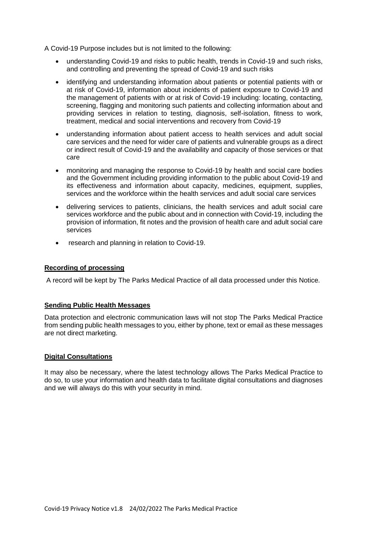A Covid-19 Purpose includes but is not limited to the following:

- understanding Covid-19 and risks to public health, trends in Covid-19 and such risks, and controlling and preventing the spread of Covid-19 and such risks
- identifying and understanding information about patients or potential patients with or at risk of Covid-19, information about incidents of patient exposure to Covid-19 and the management of patients with or at risk of Covid-19 including: locating, contacting, screening, flagging and monitoring such patients and collecting information about and providing services in relation to testing, diagnosis, self-isolation, fitness to work, treatment, medical and social interventions and recovery from Covid-19
- understanding information about patient access to health services and adult social care services and the need for wider care of patients and vulnerable groups as a direct or indirect result of Covid-19 and the availability and capacity of those services or that care
- monitoring and managing the response to Covid-19 by health and social care bodies and the Government including providing information to the public about Covid-19 and its effectiveness and information about capacity, medicines, equipment, supplies, services and the workforce within the health services and adult social care services
- delivering services to patients, clinicians, the health services and adult social care services workforce and the public about and in connection with Covid-19, including the provision of information, fit notes and the provision of health care and adult social care services
- research and planning in relation to Covid-19.

# **Recording of processing**

A record will be kept by The Parks Medical Practice of all data processed under this Notice.

## **Sending Public Health Messages**

Data protection and electronic communication laws will not stop The Parks Medical Practice from sending public health messages to you, either by phone, text or email as these messages are not direct marketing.

#### **Digital Consultations**

It may also be necessary, where the latest technology allows The Parks Medical Practice to do so, to use your information and health data to facilitate digital consultations and diagnoses and we will always do this with your security in mind.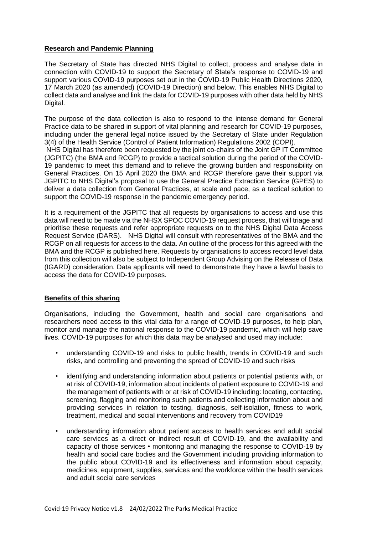## **Research and Pandemic Planning**

The Secretary of State has directed NHS Digital to collect, process and analyse data in connection with COVID-19 to support the Secretary of State's response to COVID-19 and support various COVID-19 purposes set out in the COVID-19 Public Health Directions 2020, 17 March 2020 (as amended) (COVID-19 Direction) and below. This enables NHS Digital to collect data and analyse and link the data for COVID-19 purposes with other data held by NHS Digital.

The purpose of the data collection is also to respond to the intense demand for General Practice data to be shared in support of vital planning and research for COVID-19 purposes, including under the general legal notice issued by the Secretary of State under Regulation 3(4) of the Health Service (Control of Patient Information) Regulations 2002 (COPI).

NHS Digital has therefore been requested by the joint co-chairs of the Joint GP IT Committee (JGPITC) (the BMA and RCGP) to provide a tactical solution during the period of the COVID-19 pandemic to meet this demand and to relieve the growing burden and responsibility on General Practices. On 15 April 2020 the BMA and RCGP therefore gave their support via JGPITC to NHS Digital's proposal to use the General Practice Extraction Service (GPES) to deliver a data collection from General Practices, at scale and pace, as a tactical solution to support the COVID-19 response in the pandemic emergency period.

It is a requirement of the JGPITC that all requests by organisations to access and use this data will need to be made via the NHSX SPOC COVID-19 request process, that will triage and prioritise these requests and refer appropriate requests on to the NHS Digital Data Access Request Service (DARS). NHS Digital will consult with representatives of the BMA and the RCGP on all requests for access to the data. An outline of the process for this agreed with the BMA and the RCGP is published here. Requests by organisations to access record level data from this collection will also be subject to Independent Group Advising on the Release of Data (IGARD) consideration. Data applicants will need to demonstrate they have a lawful basis to access the data for COVID-19 purposes.

#### **Benefits of this sharing**

Organisations, including the Government, health and social care organisations and researchers need access to this vital data for a range of COVID-19 purposes, to help plan, monitor and manage the national response to the COVID-19 pandemic, which will help save lives. COVID-19 purposes for which this data may be analysed and used may include:

- understanding COVID-19 and risks to public health, trends in COVID-19 and such risks, and controlling and preventing the spread of COVID-19 and such risks
- identifying and understanding information about patients or potential patients with, or at risk of COVID-19, information about incidents of patient exposure to COVID-19 and the management of patients with or at risk of COVID-19 including: locating, contacting, screening, flagging and monitoring such patients and collecting information about and providing services in relation to testing, diagnosis, self-isolation, fitness to work, treatment, medical and social interventions and recovery from COVID19
- understanding information about patient access to health services and adult social care services as a direct or indirect result of COVID-19, and the availability and capacity of those services • monitoring and managing the response to COVID-19 by health and social care bodies and the Government including providing information to the public about COVID-19 and its effectiveness and information about capacity, medicines, equipment, supplies, services and the workforce within the health services and adult social care services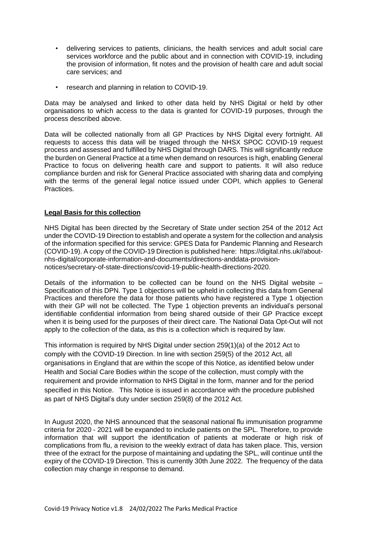- delivering services to patients, clinicians, the health services and adult social care services workforce and the public about and in connection with COVID-19, including the provision of information, fit notes and the provision of health care and adult social care services; and
- research and planning in relation to COVID-19.

Data may be analysed and linked to other data held by NHS Digital or held by other organisations to which access to the data is granted for COVID-19 purposes, through the process described above.

Data will be collected nationally from all GP Practices by NHS Digital every fortnight. All requests to access this data will be triaged through the NHSX SPOC COVID-19 request process and assessed and fulfilled by NHS Digital through DARS. This will significantly reduce the burden on General Practice at a time when demand on resources is high, enabling General Practice to focus on delivering health care and support to patients. It will also reduce compliance burden and risk for General Practice associated with sharing data and complying with the terms of the general legal notice issued under COPI, which applies to General Practices.

### **Legal Basis for this collection**

NHS Digital has been directed by the Secretary of State under section 254 of the 2012 Act under the COVID-19 Direction to establish and operate a system for the collection and analysis of the information specified for this service: GPES Data for Pandemic Planning and Research (COVID-19). A copy of the COVID-19 Direction is published here: https://digital.nhs.uk//aboutnhs-digital/corporate-information-and-documents/directions-anddata-provisionnotices/secretary-of-state-directions/covid-19-public-health-directions-2020.

Details of the information to be collected can be found on the NHS Digital website – Specification of this DPN. Type 1 objections will be upheld in collecting this data from General Practices and therefore the data for those patients who have registered a Type 1 objection with their GP will not be collected. The Type 1 objection prevents an individual's personal identifiable confidential information from being shared outside of their GP Practice except when it is being used for the purposes of their direct care. The National Data Opt-Out will not apply to the collection of the data, as this is a collection which is required by law.

This information is required by NHS Digital under section 259(1)(a) of the 2012 Act to comply with the COVID-19 Direction. In line with section 259(5) of the 2012 Act, all organisations in England that are within the scope of this Notice, as identified below under Health and Social Care Bodies within the scope of the collection, must comply with the requirement and provide information to NHS Digital in the form, manner and for the period specified in this Notice. This Notice is issued in accordance with the procedure published as part of NHS Digital's duty under section 259(8) of the 2012 Act.

In August 2020, the NHS announced that the seasonal national flu immunisation programme criteria for 2020 - 2021 will be expanded to include patients on the SPL. Therefore, to provide information that will support the identification of patients at moderate or high risk of complications from flu, a revision to the weekly extract of data has taken place. This, version three of the extract for the purpose of maintaining and updating the SPL, will continue until the expiry of the COVID-19 Direction. This is currently 30th June 2022. The frequency of the data collection may change in response to demand.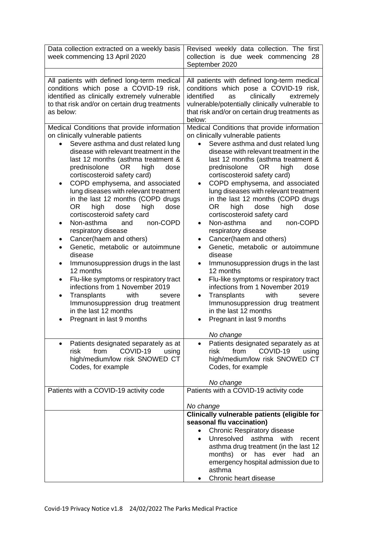| Data collection extracted on a weekly basis<br>week commencing 13 April 2020                                                                                                                                                                                                                                                                                                                                                                                                                                                                                                                                                                                                                                                                                                                                                                                                                                                   | Revised weekly data collection. The first<br>collection is due week commencing 28<br>September 2020                                                                                                                                                                                                                                                                                                                                                                                                                                                                                                                                                                                                                                                                                                                                                                                                                                                   |
|--------------------------------------------------------------------------------------------------------------------------------------------------------------------------------------------------------------------------------------------------------------------------------------------------------------------------------------------------------------------------------------------------------------------------------------------------------------------------------------------------------------------------------------------------------------------------------------------------------------------------------------------------------------------------------------------------------------------------------------------------------------------------------------------------------------------------------------------------------------------------------------------------------------------------------|-------------------------------------------------------------------------------------------------------------------------------------------------------------------------------------------------------------------------------------------------------------------------------------------------------------------------------------------------------------------------------------------------------------------------------------------------------------------------------------------------------------------------------------------------------------------------------------------------------------------------------------------------------------------------------------------------------------------------------------------------------------------------------------------------------------------------------------------------------------------------------------------------------------------------------------------------------|
| All patients with defined long-term medical<br>conditions which pose a COVID-19 risk,<br>identified as clinically extremely vulnerable<br>to that risk and/or on certain drug treatments<br>as below:                                                                                                                                                                                                                                                                                                                                                                                                                                                                                                                                                                                                                                                                                                                          | All patients with defined long-term medical<br>conditions which pose a COVID-19 risk,<br>identified<br>clinically<br>as<br>extremely<br>vulnerable/potentially clinically vulnerable to<br>that risk and/or on certain drug treatments as<br>below:                                                                                                                                                                                                                                                                                                                                                                                                                                                                                                                                                                                                                                                                                                   |
| Medical Conditions that provide information<br>on clinically vulnerable patients<br>Severe asthma and dust related lung<br>$\bullet$<br>disease with relevant treatment in the<br>last 12 months (asthma treatment &<br>prednisolone<br><b>OR</b><br>high<br>dose<br>cortiscosteroid safety card)<br>COPD emphysema, and associated<br>lung diseases with relevant treatment<br>in the last 12 months (COPD drugs<br>OR.<br>high<br>dose<br>high<br>dose<br>cortiscosteroid safety card<br>Non-asthma<br>non-COPD<br>and<br>$\bullet$<br>respiratory disease<br>Cancer(haem and others)<br>٠<br>Genetic, metabolic or autoimmune<br>disease<br>Immunosuppression drugs in the last<br>$\bullet$<br>12 months<br>Flu-like symptoms or respiratory tract<br>٠<br>infections from 1 November 2019<br>Transplants<br>with<br>severe<br>٠<br>Immunosuppression drug treatment<br>in the last 12 months<br>Pregnant in last 9 months | Medical Conditions that provide information<br>on clinically vulnerable patients<br>Severe asthma and dust related lung<br>$\bullet$<br>disease with relevant treatment in the<br>last 12 months (asthma treatment &<br>prednisolone<br>OR.<br>high<br>dose<br>cortiscosteroid safety card)<br>COPD emphysema, and associated<br>lung diseases with relevant treatment<br>in the last 12 months (COPD drugs<br>OR.<br>high<br>dose<br>high<br>dose<br>cortiscosteroid safety card<br>Non-asthma<br>non-COPD<br>and<br>$\bullet$<br>respiratory disease<br>Cancer(haem and others)<br>$\bullet$<br>Genetic, metabolic or autoimmune<br>$\bullet$<br>disease<br>Immunosuppression drugs in the last<br>$\bullet$<br>12 months<br>Flu-like symptoms or respiratory tract<br>$\bullet$<br>infections from 1 November 2019<br>with<br>Transplants<br>severe<br>٠<br>Immunosuppression drug treatment<br>in the last 12 months<br>Pregnant in last 9 months |
| Patients designated separately as at<br>$\bullet$<br>from<br>COVID-19<br>risk<br>using<br>high/medium/low risk SNOWED CT<br>Codes, for example                                                                                                                                                                                                                                                                                                                                                                                                                                                                                                                                                                                                                                                                                                                                                                                 | No change<br>Patients designated separately as at<br>COVID-19<br>from<br>risk<br>using<br>high/medium/low risk SNOWED CT<br>Codes, for example                                                                                                                                                                                                                                                                                                                                                                                                                                                                                                                                                                                                                                                                                                                                                                                                        |
| Patients with a COVID-19 activity code                                                                                                                                                                                                                                                                                                                                                                                                                                                                                                                                                                                                                                                                                                                                                                                                                                                                                         | No change<br>Patients with a COVID-19 activity code                                                                                                                                                                                                                                                                                                                                                                                                                                                                                                                                                                                                                                                                                                                                                                                                                                                                                                   |
|                                                                                                                                                                                                                                                                                                                                                                                                                                                                                                                                                                                                                                                                                                                                                                                                                                                                                                                                | No change                                                                                                                                                                                                                                                                                                                                                                                                                                                                                                                                                                                                                                                                                                                                                                                                                                                                                                                                             |
|                                                                                                                                                                                                                                                                                                                                                                                                                                                                                                                                                                                                                                                                                                                                                                                                                                                                                                                                | Clinically vulnerable patients (eligible for<br>seasonal flu vaccination)<br><b>Chronic Respiratory disease</b><br>$\bullet$<br>Unresolved<br>asthma with<br>recent<br>$\bullet$<br>asthma drug treatment (in the last 12<br>months)<br>or<br>has<br>ever<br>had<br>an<br>emergency hospital admission due to<br>asthma<br>Chronic heart disease                                                                                                                                                                                                                                                                                                                                                                                                                                                                                                                                                                                                      |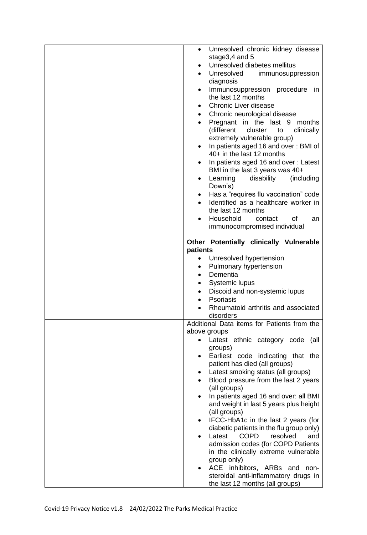| Unresolved chronic kidney disease<br>$\bullet$                                                                         |
|------------------------------------------------------------------------------------------------------------------------|
| stage3,4 and 5                                                                                                         |
| Unresolved diabetes mellitus<br>$\bullet$                                                                              |
| Unresolved<br>immunosuppression<br>$\bullet$<br>diagnosis                                                              |
| Immunosuppression procedure<br>in<br>$\bullet$<br>the last 12 months                                                   |
| Chronic Liver disease<br>٠                                                                                             |
| Chronic neurological disease                                                                                           |
| Pregnant in the last 9 months<br>$\bullet$<br>(different<br>cluster<br>clinically<br>to<br>extremely vulnerable group) |
| In patients aged 16 and over: BMI of<br>$\bullet$<br>40+ in the last 12 months                                         |
| In patients aged 16 and over: Latest<br>BMI in the last 3 years was 40+                                                |
| Learning<br>disability<br>(including<br>$\bullet$<br>Down's)                                                           |
| Has a "requires flu vaccination" code<br>$\bullet$                                                                     |
| Identified as a healthcare worker in<br>the last 12 months                                                             |
| Household<br>contact<br>0f<br>an                                                                                       |
| immunocompromised individual                                                                                           |
| Other Potentially clinically Vulnerable<br>patients                                                                    |
| Unresolved hypertension<br>$\bullet$                                                                                   |
| Pulmonary hypertension<br>٠                                                                                            |
| Dementia<br>$\bullet$                                                                                                  |
| Systemic lupus<br>٠                                                                                                    |
| Discoid and non-systemic lupus<br>$\bullet$                                                                            |
| Psoriasis<br>$\bullet$                                                                                                 |
| Rheumatoid arthritis and associated<br>disorders                                                                       |
| Additional Data items for Patients from the                                                                            |
| above groups                                                                                                           |
| Latest ethnic category code (all                                                                                       |
| groups)                                                                                                                |
| Earliest code indicating that the<br>٠<br>patient has died (all groups)                                                |
| Latest smoking status (all groups)<br>$\bullet$                                                                        |
| Blood pressure from the last 2 years<br>$\bullet$                                                                      |
| (all groups)                                                                                                           |
| In patients aged 16 and over: all BMI                                                                                  |
| and weight in last 5 years plus height<br>(all groups)                                                                 |
| IFCC-HbA1c in the last 2 years (for<br>$\bullet$                                                                       |
| diabetic patients in the flu group only)                                                                               |
| <b>COPD</b><br>Latest<br>resolved<br>and                                                                               |
| admission codes (for COPD Patients                                                                                     |
|                                                                                                                        |
| in the clinically extreme vulnerable                                                                                   |
| group only)                                                                                                            |
| ACE inhibitors, ARBs and non-<br>steroidal anti-inflammatory drugs in                                                  |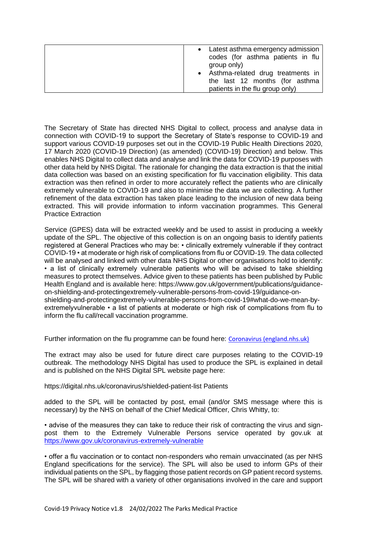| • Latest asthma emergency admission<br>codes (for asthma patients in flu<br>group only)<br>• Asthma-related drug treatments in |
|--------------------------------------------------------------------------------------------------------------------------------|
| the last 12 months (for asthma<br>patients in the flu group only)                                                              |

The Secretary of State has directed NHS Digital to collect, process and analyse data in connection with COVID-19 to support the Secretary of State's response to COVID-19 and support various COVID-19 purposes set out in the COVID-19 Public Health Directions 2020, 17 March 2020 (COVID-19 Direction) (as amended) (COVID-19) Direction) and below. This enables NHS Digital to collect data and analyse and link the data for COVID-19 purposes with other data held by NHS Digital. The rationale for changing the data extraction is that the initial data collection was based on an existing specification for flu vaccination eligibility. This data extraction was then refined in order to more accurately reflect the patients who are clinically extremely vulnerable to COVID-19 and also to minimise the data we are collecting. A further refinement of the data extraction has taken place leading to the inclusion of new data being extracted. This will provide information to inform vaccination programmes. This General Practice Extraction

Service (GPES) data will be extracted weekly and be used to assist in producing a weekly update of the SPL. The objective of this collection is on an ongoing basis to identify patients registered at General Practices who may be: • clinically extremely vulnerable if they contract COVID-19 • at moderate or high risk of complications from flu or COVID-19. The data collected will be analysed and linked with other data NHS Digital or other organisations hold to identify: • a list of clinically extremely vulnerable patients who will be advised to take shielding measures to protect themselves. Advice given to these patients has been published by Public Health England and is available here: https://www.gov.uk/government/publications/guidanceon-shielding-and-protectingextremely-vulnerable-persons-from-covid-19/guidance-onshielding-and-protectingextremely-vulnerable-persons-from-covid-19#what-do-we-mean-byextremelyvulnerable • a list of patients at moderate or high risk of complications from flu to inform the flu call/recall vaccination programme.

Further information on the flu programme can be found here: [Coronavirus \(england.nhs.uk\)](https://www.england.nhs.uk/coronavirus/)

The extract may also be used for future direct care purposes relating to the COVID-19 outbreak. The methodology NHS Digital has used to produce the SPL is explained in detail and is published on the NHS Digital SPL website page here:

https://digital.nhs.uk/coronavirus/shielded-patient-list Patients

added to the SPL will be contacted by post, email (and/or SMS message where this is necessary) by the NHS on behalf of the Chief Medical Officer, Chris Whitty, to:

• advise of the measures they can take to reduce their risk of contracting the virus and signpost them to the Extremely Vulnerable Persons service operated by gov.uk at <https://www.gov.uk/coronavirus-extremely-vulnerable>

• offer a flu vaccination or to contact non-responders who remain unvaccinated (as per NHS England specifications for the service). The SPL will also be used to inform GPs of their individual patients on the SPL, by flagging those patient records on GP patient record systems. The SPL will be shared with a variety of other organisations involved in the care and support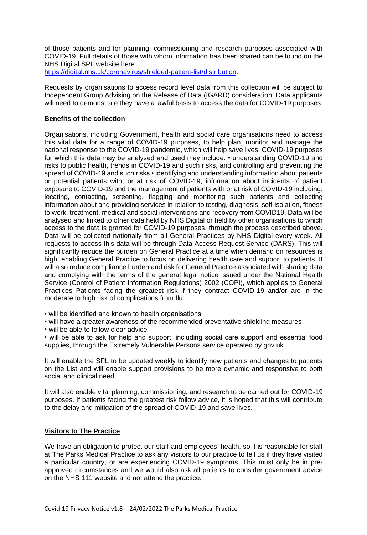of those patients and for planning, commissioning and research purposes associated with COVID-19. Full details of those with whom information has been shared can be found on the NHS Digital SPL website here:

[https://digital.nhs.uk/coronavirus/shielded-patient-list/distribution.](https://digital.nhs.uk/coronavirus/shielded-patient-list/distribution)

Requests by organisations to access record level data from this collection will be subject to Independent Group Advising on the Release of Data (IGARD) consideration. Data applicants will need to demonstrate they have a lawful basis to access the data for COVID-19 purposes.

## **Benefits of the collection**

Organisations, including Government, health and social care organisations need to access this vital data for a range of COVID-19 purposes, to help plan, monitor and manage the national response to the COVID-19 pandemic, which will help save lives. COVID-19 purposes for which this data may be analysed and used may include: • understanding COVID-19 and risks to public health, trends in COVID-19 and such risks, and controlling and preventing the spread of COVID-19 and such risks • identifying and understanding information about patients or potential patients with, or at risk of COVID-19, information about incidents of patient exposure to COVID-19 and the management of patients with or at risk of COVID-19 including: locating, contacting, screening, flagging and monitoring such patients and collecting information about and providing services in relation to testing, diagnosis, self-isolation, fitness to work, treatment, medical and social interventions and recovery from COVID19. Data will be analysed and linked to other data held by NHS Digital or held by other organisations to which access to the data is granted for COVID-19 purposes, through the process described above. Data will be collected nationally from all General Practices by NHS Digital every week. All requests to access this data will be through Data Access Request Service (DARS). This will significantly reduce the burden on General Practice at a time when demand on resources is high, enabling General Practice to focus on delivering health care and support to patients. It will also reduce compliance burden and risk for General Practice associated with sharing data and complying with the terms of the general legal notice issued under the National Health Service (Control of Patient Information Regulations) 2002 (COPI), which applies to General Practices Patients facing the greatest risk if they contract COVID-19 and/or are in the moderate to high risk of complications from flu:

- will be identified and known to health organisations
- will have a greater awareness of the recommended preventative shielding measures
- will be able to follow clear advice

• will be able to ask for help and support, including social care support and essential food supplies, through the Extremely Vulnerable Persons service operated by gov.uk.

It will enable the SPL to be updated weekly to identify new patients and changes to patients on the List and will enable support provisions to be more dynamic and responsive to both social and clinical need.

It will also enable vital planning, commissioning, and research to be carried out for COVID-19 purposes. If patients facing the greatest risk follow advice, it is hoped that this will contribute to the delay and mitigation of the spread of COVID-19 and save lives.

## **Visitors to The Practice**

We have an obligation to protect our staff and employees' health, so it is reasonable for staff at The Parks Medical Practice to ask any visitors to our practice to tell us if they have visited a particular country, or are experiencing COVID-19 symptoms. This must only be in preapproved circumstances and we would also ask all patients to consider government advice on the NHS 111 website and not attend the practice.